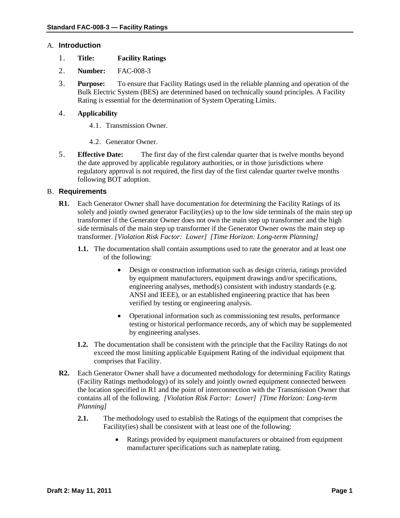## A. **Introduction**

- 1. **Title: Facility Ratings**
- 2. **Number:** FAC-008-3
- 3. **Purpose:** To ensure that Facility Ratings used in the reliable planning and operation of the Bulk Electric System (BES) are determined based on technically sound principles. A Facility Rating is essential for the determination of System Operating Limits.

## 4. **Applicability**

- 4.1. Transmission Owner.
- 4.2. Generator Owner.
- 5. **Effective Date:** The first day of the first calendar quarter that is twelve months beyond the date approved by applicable regulatory authorities, or in those jurisdictions where regulatory approval is not required, the first day of the first calendar quarter twelve months following BOT adoption.

## B. **Requirements**

- **R1.** Each Generator Owner shall have documentation for determining the Facility Ratings of its solely and jointly owned generator Facility(ies) up to the low side terminals of the main step up transformer if the Generator Owner does not own the main step up transformer and the high side terminals of the main step up transformer if the Generator Owner owns the main step up transformer. *[Violation Risk Factor: Lower] [Time Horizon: Long-term Planning]*
	- **1.1.** The documentation shall contain assumptions used to rate the generator and at least one of the following:
		- Design or construction information such as design criteria, ratings provided by equipment manufacturers, equipment drawings and/or specifications, engineering analyses, method(s) consistent with industry standards (e.g. ANSI and IEEE), or an established engineering practice that has been verified by testing or engineering analysis.
		- Operational information such as commissioning test results, performance testing or historical performance records, any of which may be supplemented by engineering analyses.
	- **1.2.** The documentation shall be consistent with the principle that the Facility Ratings do not exceed the most limiting applicable Equipment Rating of the individual equipment that comprises that Facility.
- **R2.** Each Generator Owner shall have a documented methodology for determining Facility Ratings (Facility Ratings methodology) of its solely and jointly owned equipment connected between the location specified in R1 and the point of interconnection with the Transmission Owner that contains all of the following. *[Violation Risk Factor: Lower] [Time Horizon: Long-term Planning]*
	- **2.1.** The methodology used to establish the Ratings of the equipment that comprises the Facility(ies) shall be consistent with at least one of the following:
		- Ratings provided by equipment manufacturers or obtained from equipment manufacturer specifications such as nameplate rating.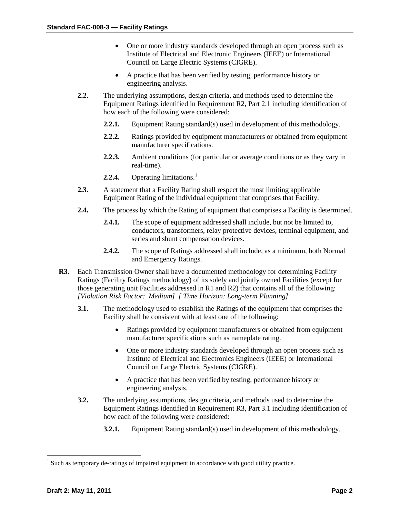- One or more industry standards developed through an open process such as Institute of Electrical and Electronic Engineers (IEEE) or International Council on Large Electric Systems (CIGRE).
- A practice that has been verified by testing, performance history or engineering analysis.
- **2.2.** The underlying assumptions, design criteria, and methods used to determine the Equipment Ratings identified in Requirement R2, Part 2.1 including identification of how each of the following were considered:
	- **2.2.1.** Equipment Rating standard(s) used in development of this methodology.
	- **2.2.2.** Ratings provided by equipment manufacturers or obtained from equipment manufacturer specifications.
	- **2.2.3.** Ambient conditions (for particular or average conditions or as they vary in real-time).
	- **2.2.4.** Operating limitations. [1](#page-1-0)
- **2.3.** A statement that a Facility Rating shall respect the most limiting applicable Equipment Rating of the individual equipment that comprises that Facility.
- **2.4.** The process by which the Rating of equipment that comprises a Facility is determined.
	- **2.4.1.** The scope of equipment addressed shall include, but not be limited to, conductors, transformers, relay protective devices, terminal equipment, and series and shunt compensation devices.
	- **2.4.2.** The scope of Ratings addressed shall include, as a minimum, both Normal and Emergency Ratings.
- **R3.** Each Transmission Owner shall have a documented methodology for determining Facility Ratings (Facility Ratings methodology) of its solely and jointly owned Facilities (except for those generating unit Facilities addressed in R1 and R2) that contains all of the following: *[Violation Risk Factor: Medium] [ Time Horizon: Long-term Planning]*
	- **3.1.** The methodology used to establish the Ratings of the equipment that comprises the Facility shall be consistent with at least one of the following:
		- Ratings provided by equipment manufacturers or obtained from equipment manufacturer specifications such as nameplate rating.
		- One or more industry standards developed through an open process such as Institute of Electrical and Electronics Engineers (IEEE) or International Council on Large Electric Systems (CIGRE).
		- A practice that has been verified by testing, performance history or engineering analysis.
	- **3.2.** The underlying assumptions, design criteria, and methods used to determine the Equipment Ratings identified in Requirement R3, Part 3.1 including identification of how each of the following were considered:
		- **3.2.1.** Equipment Rating standard(s) used in development of this methodology.

<span id="page-1-0"></span><sup>&</sup>lt;sup>1</sup> Such as temporary de-ratings of impaired equipment in accordance with good utility practice.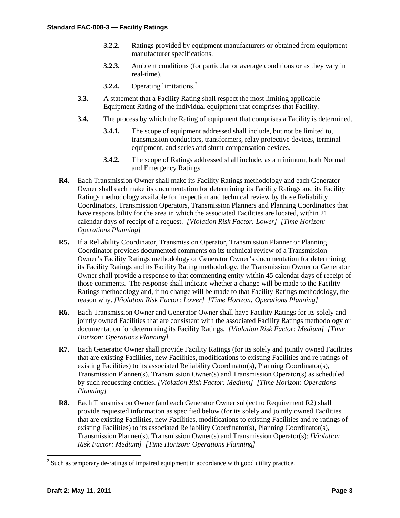- **3.2.2.** Ratings provided by equipment manufacturers or obtained from equipment manufacturer specifications.
- **3.2.3.** Ambient conditions (for particular or average conditions or as they vary in real-time).
- **3.2.4.** Operating limitations. [2](#page-2-0)
- **3.3.** A statement that a Facility Rating shall respect the most limiting applicable Equipment Rating of the individual equipment that comprises that Facility.
- **3.4.** The process by which the Rating of equipment that comprises a Facility is determined.
	- **3.4.1.** The scope of equipment addressed shall include, but not be limited to, transmission conductors, transformers, relay protective devices, terminal equipment, and series and shunt compensation devices.
	- **3.4.2.** The scope of Ratings addressed shall include, as a minimum, both Normal and Emergency Ratings.
- **R4.** Each Transmission Owner shall make its Facility Ratings methodology and each Generator Owner shall each make its documentation for determining its Facility Ratings and its Facility Ratings methodology available for inspection and technical review by those Reliability Coordinators, Transmission Operators, Transmission Planners and Planning Coordinators that have responsibility for the area in which the associated Facilities are located, within 21 calendar days of receipt of a request. *[Violation Risk Factor: Lower] [Time Horizon: Operations Planning]*
- **R5.** If a Reliability Coordinator, Transmission Operator, Transmission Planner or Planning Coordinator provides documented comments on its technical review of a Transmission Owner's Facility Ratings methodology or Generator Owner's documentation for determining its Facility Ratings and its Facility Rating methodology, the Transmission Owner or Generator Owner shall provide a response to that commenting entity within 45 calendar days of receipt of those comments. The response shall indicate whether a change will be made to the Facility Ratings methodology and, if no change will be made to that Facility Ratings methodology, the reason why. *[Violation Risk Factor: Lower] [Time Horizon: Operations Planning]*
- **R6.** Each Transmission Owner and Generator Owner shall have Facility Ratings for its solely and jointly owned Facilities that are consistent with the associated Facility Ratings methodology or documentation for determining its Facility Ratings. *[Violation Risk Factor: Medium] [Time Horizon: Operations Planning]*
- **R7.** Each Generator Owner shall provide Facility Ratings (for its solely and jointly owned Facilities that are existing Facilities, new Facilities, modifications to existing Facilities and re-ratings of existing Facilities) to its associated Reliability Coordinator(s), Planning Coordinator(s), Transmission Planner(s), Transmission Owner(s) and Transmission Operator(s) as scheduled by such requesting entities. *[Violation Risk Factor: Medium] [Time Horizon: Operations Planning]*
- **R8.** Each Transmission Owner (and each Generator Owner subject to Requirement R2) shall provide requested information as specified below (for its solely and jointly owned Facilities that are existing Facilities, new Facilities, modifications to existing Facilities and re-ratings of existing Facilities) to its associated Reliability Coordinator(s), Planning Coordinator(s), Transmission Planner(s), Transmission Owner(s) and Transmission Operator(s): *[Violation Risk Factor: Medium] [Time Horizon: Operations Planning]*

<span id="page-2-0"></span><sup>&</sup>lt;sup>2</sup> Such as temporary de-ratings of impaired equipment in accordance with good utility practice.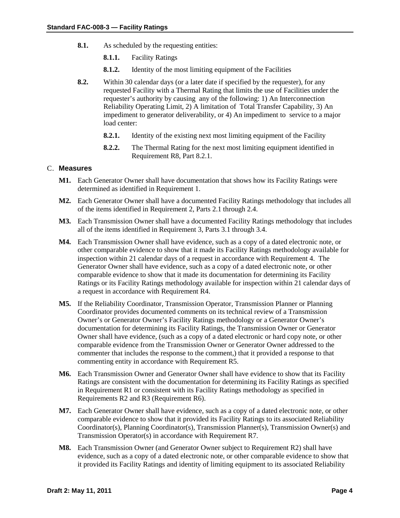- **8.1.** As scheduled by the requesting entities:
	- **8.1.1.** Facility Ratings
	- **8.1.2.** Identity of the most limiting equipment of the Facilities
- **8.2.** Within 30 calendar days (or a later date if specified by the requester), for any requested Facility with a Thermal Rating that limits the use of Facilities under the requester's authority by causing any of the following: 1) An Interconnection Reliability Operating Limit, 2) A limitation of Total Transfer Capability, 3) An impediment to generator deliverability, or 4) An impediment to service to a major load center:
	- **8.2.1.** Identity of the existing next most limiting equipment of the Facility
	- **8.2.2.** The Thermal Rating for the next most limiting equipment identified in Requirement R8, Part 8.2.1.

#### C. **Measures**

- **M1.** Each Generator Owner shall have documentation that shows how its Facility Ratings were determined as identified in Requirement 1.
- **M2.** Each Generator Owner shall have a documented Facility Ratings methodology that includes all of the items identified in Requirement 2, Parts 2.1 through 2.4.
- **M3.** Each Transmission Owner shall have a documented Facility Ratings methodology that includes all of the items identified in Requirement 3, Parts 3.1 through 3.4.
- **M4.** Each Transmission Owner shall have evidence, such as a copy of a dated electronic note, or other comparable evidence to show that it made its Facility Ratings methodology available for inspection within 21 calendar days of a request in accordance with Requirement 4. The Generator Owner shall have evidence, such as a copy of a dated electronic note, or other comparable evidence to show that it made its documentation for determining its Facility Ratings or its Facility Ratings methodology available for inspection within 21 calendar days of a request in accordance with Requirement R4.
- **M5.** If the Reliability Coordinator, Transmission Operator, Transmission Planner or Planning Coordinator provides documented comments on its technical review of a Transmission Owner's or Generator Owner's Facility Ratings methodology or a Generator Owner's documentation for determining its Facility Ratings, the Transmission Owner or Generator Owner shall have evidence, (such as a copy of a dated electronic or hard copy note, or other comparable evidence from the Transmission Owner or Generator Owner addressed to the commenter that includes the response to the comment,) that it provided a response to that commenting entity in accordance with Requirement R5.
- **M6.** Each Transmission Owner and Generator Owner shall have evidence to show that its Facility Ratings are consistent with the documentation for determining its Facility Ratings as specified in Requirement R1 or consistent with its Facility Ratings methodology as specified in Requirements R2 and R3 (Requirement R6).
- **M7.** Each Generator Owner shall have evidence, such as a copy of a dated electronic note, or other comparable evidence to show that it provided its Facility Ratings to its associated Reliability Coordinator(s), Planning Coordinator(s), Transmission Planner(s), Transmission Owner(s) and Transmission Operator(s) in accordance with Requirement R7.
- **M8.** Each Transmission Owner (and Generator Owner subject to Requirement R2) shall have evidence, such as a copy of a dated electronic note, or other comparable evidence to show that it provided its Facility Ratings and identity of limiting equipment to its associated Reliability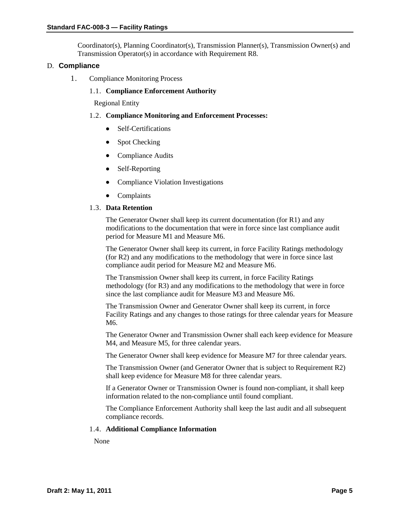Coordinator(s), Planning Coordinator(s), Transmission Planner(s), Transmission Owner(s) and Transmission Operator(s) in accordance with Requirement R8.

#### D. **Compliance**

1. Compliance Monitoring Process

## 1.1. **Compliance Enforcement Authority**

Regional Entity

## 1.2. **Compliance Monitoring and Enforcement Processes:**

- Self-Certifications
- Spot Checking
- Compliance Audits
- Self-Reporting
- Compliance Violation Investigations
- Complaints

#### 1.3. **Data Retention**

The Generator Owner shall keep its current documentation (for R1) and any modifications to the documentation that were in force since last compliance audit period for Measure M1 and Measure M6.

The Generator Owner shall keep its current, in force Facility Ratings methodology (for R2) and any modifications to the methodology that were in force since last compliance audit period for Measure M2 and Measure M6.

The Transmission Owner shall keep its current, in force Facility Ratings methodology (for R3) and any modifications to the methodology that were in force since the last compliance audit for Measure M3 and Measure M6.

The Transmission Owner and Generator Owner shall keep its current, in force Facility Ratings and any changes to those ratings for three calendar years for Measure M6.

The Generator Owner and Transmission Owner shall each keep evidence for Measure M4, and Measure M5, for three calendar years.

The Generator Owner shall keep evidence for Measure M7 for three calendar years.

The Transmission Owner (and Generator Owner that is subject to Requirement R2) shall keep evidence for Measure M8 for three calendar years.

If a Generator Owner or Transmission Owner is found non-compliant, it shall keep information related to the non-compliance until found compliant.

The Compliance Enforcement Authority shall keep the last audit and all subsequent compliance records.

#### 1.4. **Additional Compliance Information**

None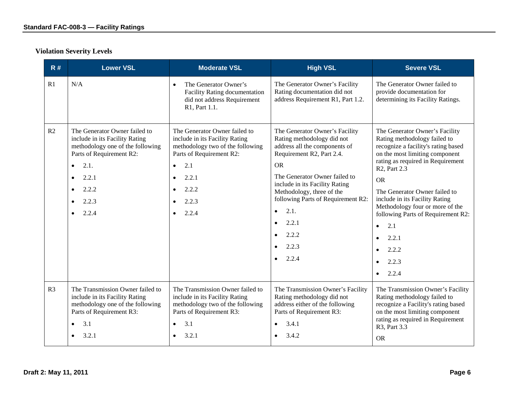# **Violation Severity Levels**

| R#             | <b>Lower VSL</b>                                                                                                                                                                                                                             | <b>Moderate VSL</b>                                                                                                                                                                                  | <b>High VSL</b>                                                                                                                                                                                                                                                                                                                                     | <b>Severe VSL</b>                                                                                                                                                                                                                                                                                                                                                                                                                                                 |
|----------------|----------------------------------------------------------------------------------------------------------------------------------------------------------------------------------------------------------------------------------------------|------------------------------------------------------------------------------------------------------------------------------------------------------------------------------------------------------|-----------------------------------------------------------------------------------------------------------------------------------------------------------------------------------------------------------------------------------------------------------------------------------------------------------------------------------------------------|-------------------------------------------------------------------------------------------------------------------------------------------------------------------------------------------------------------------------------------------------------------------------------------------------------------------------------------------------------------------------------------------------------------------------------------------------------------------|
| R1             | N/A                                                                                                                                                                                                                                          | The Generator Owner's<br>$\bullet$<br><b>Facility Rating documentation</b><br>did not address Requirement<br>R1, Part 1.1.                                                                           | The Generator Owner's Facility<br>Rating documentation did not<br>address Requirement R1, Part 1.2.                                                                                                                                                                                                                                                 | The Generator Owner failed to<br>provide documentation for<br>determining its Facility Ratings.                                                                                                                                                                                                                                                                                                                                                                   |
| R2             | The Generator Owner failed to<br>include in its Facility Rating<br>methodology one of the following<br>Parts of Requirement R2:<br>2.1.<br>$\bullet$<br>2.2.1<br>$\bullet$<br>2.2.2<br>$\bullet$<br>2.2.3<br>$\bullet$<br>2.2.4<br>$\bullet$ | The Generator Owner failed to<br>include in its Facility Rating<br>methodology two of the following<br>Parts of Requirement R2:<br>2.1<br>$\bullet$<br>2.2.1<br>$\bullet$<br>2.2.2<br>2.2.3<br>2.2.4 | The Generator Owner's Facility<br>Rating methodology did not<br>address all the components of<br>Requirement R2, Part 2.4.<br><b>OR</b><br>The Generator Owner failed to<br>include in its Facility Rating<br>Methodology, three of the<br>following Parts of Requirement R2:<br>2.1.<br>$\bullet$<br>2.2.1<br>$\bullet$<br>2.2.2<br>2.2.3<br>2.2.4 | The Generator Owner's Facility<br>Rating methodology failed to<br>recognize a facility's rating based<br>on the most limiting component<br>rating as required in Requirement<br>R <sub>2</sub> , Part 2.3<br><b>OR</b><br>The Generator Owner failed to<br>include in its Facility Rating<br>Methodology four or more of the<br>following Parts of Requirement R2:<br>2.1<br>$\bullet$<br>2.2.1<br>$\bullet$<br>2.2.2<br>2.2.3<br>$\bullet$<br>2.2.4<br>$\bullet$ |
| R <sub>3</sub> | The Transmission Owner failed to<br>include in its Facility Rating<br>methodology one of the following<br>Parts of Requirement R3:<br>3.1<br>$\bullet$<br>3.2.1<br>$\bullet$                                                                 | The Transmission Owner failed to<br>include in its Facility Rating<br>methodology two of the following<br>Parts of Requirement R3:<br>3.1<br>$\bullet$<br>3.2.1                                      | The Transmission Owner's Facility<br>Rating methodology did not<br>address either of the following<br>Parts of Requirement R3:<br>3.4.1<br>3.4.2                                                                                                                                                                                                    | The Transmission Owner's Facility<br>Rating methodology failed to<br>recognize a Facility's rating based<br>on the most limiting component<br>rating as required in Requirement<br>R3, Part 3.3<br><b>OR</b>                                                                                                                                                                                                                                                      |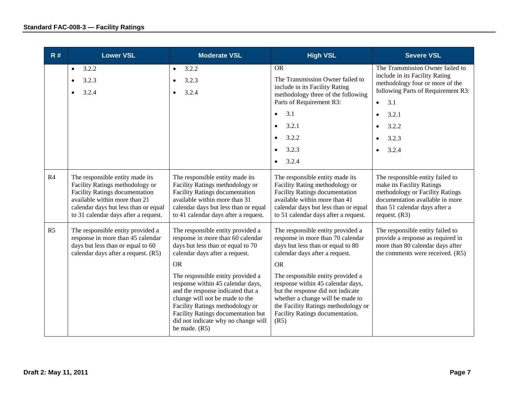| R#             | <b>Lower VSL</b>                                                                                                                                                                                                             | <b>Moderate VSL</b>                                                                                                                                                                                                                                                                                                      | <b>High VSL</b>                                                                                                                                                                                                                   | <b>Severe VSL</b>                                                                                                                                                                       |
|----------------|------------------------------------------------------------------------------------------------------------------------------------------------------------------------------------------------------------------------------|--------------------------------------------------------------------------------------------------------------------------------------------------------------------------------------------------------------------------------------------------------------------------------------------------------------------------|-----------------------------------------------------------------------------------------------------------------------------------------------------------------------------------------------------------------------------------|-----------------------------------------------------------------------------------------------------------------------------------------------------------------------------------------|
|                | 3.2.2<br>$\bullet$<br>3.2.3<br>$\bullet$<br>3.2.4<br>$\bullet$                                                                                                                                                               | 3.2.2<br>$\bullet$<br>3.2.3<br>3.2.4                                                                                                                                                                                                                                                                                     | <b>OR</b><br>The Transmission Owner failed to<br>include in its Facility Rating<br>methodology three of the following<br>Parts of Requirement R3:<br>3.1<br>$\bullet$                                                             | The Transmission Owner failed to<br>include in its Facility Rating<br>methodology four or more of the<br>following Parts of Requirement R3:<br>3.1<br>$\bullet$                         |
|                |                                                                                                                                                                                                                              |                                                                                                                                                                                                                                                                                                                          | 3.2.1<br>$\bullet$                                                                                                                                                                                                                | 3.2.1<br>$\bullet$<br>3.2.2                                                                                                                                                             |
|                |                                                                                                                                                                                                                              |                                                                                                                                                                                                                                                                                                                          | 3.2.2<br>$\bullet$                                                                                                                                                                                                                | 3.2.3                                                                                                                                                                                   |
|                |                                                                                                                                                                                                                              |                                                                                                                                                                                                                                                                                                                          | 3.2.3<br>$\bullet$<br>3.2.4<br>$\bullet$                                                                                                                                                                                          | 3.2.4                                                                                                                                                                                   |
| R4             | The responsible entity made its<br>Facility Ratings methodology or<br><b>Facility Ratings documentation</b><br>available within more than 21<br>calendar days but less than or equal<br>to 31 calendar days after a request. | The responsible entity made its<br>Facility Ratings methodology or<br><b>Facility Ratings documentation</b><br>available within more than 31<br>calendar days but less than or equal<br>to 41 calendar days after a request.                                                                                             | The responsible entity made its<br>Facility Rating methodology or<br><b>Facility Ratings documentation</b><br>available within more than 41<br>calendar days but less than or equal<br>to 51 calendar days after a request.       | The responsible entity failed to<br>make its Facility Ratings<br>methodology or Facility Ratings<br>documentation available in more<br>than 51 calendar days after a<br>request. $(R3)$ |
| R <sub>5</sub> | The responsible entity provided a<br>response in more than 45 calendar<br>days but less than or equal to 60<br>calendar days after a request. (R5)                                                                           | The responsible entity provided a<br>The responsible entity provided a<br>response in more than 60 calendar<br>response in more than 70 calendar<br>days but less than or equal to 70<br>days but less than or equal to 80<br>calendar days after a request.<br>calendar days after a request.<br><b>OR</b><br><b>OR</b> |                                                                                                                                                                                                                                   | The responsible entity failed to<br>provide a response as required in<br>more than 80 calendar days after<br>the comments were received. (R5)                                           |
|                |                                                                                                                                                                                                                              | The responsible entity provided a<br>response within 45 calendar days,<br>and the response indicated that a<br>change will not be made to the<br>Facility Ratings methodology or<br>Facility Ratings documentation but<br>did not indicate why no change will<br>be made. $(R5)$                                         | The responsible entity provided a<br>response within 45 calendar days,<br>but the response did not indicate<br>whether a change will be made to<br>the Facility Ratings methodology or<br>Facility Ratings documentation.<br>(R5) |                                                                                                                                                                                         |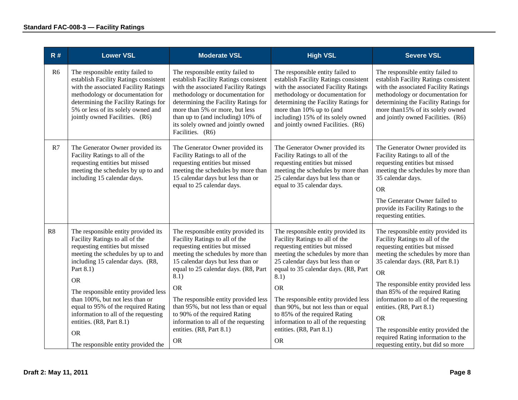| R#             | <b>Lower VSL</b>                                                                                                                                                                                                                                                                                                                                                                                                                                      | <b>Moderate VSL</b>                                                                                                                                                                                                                                                                                                                                                                                                                               | <b>High VSL</b>                                                                                                                                                                                                                                                                                                                                                                                                                                   | <b>Severe VSL</b>                                                                                                                                                                                                                                                                                                                                                                                                                                                             |
|----------------|-------------------------------------------------------------------------------------------------------------------------------------------------------------------------------------------------------------------------------------------------------------------------------------------------------------------------------------------------------------------------------------------------------------------------------------------------------|---------------------------------------------------------------------------------------------------------------------------------------------------------------------------------------------------------------------------------------------------------------------------------------------------------------------------------------------------------------------------------------------------------------------------------------------------|---------------------------------------------------------------------------------------------------------------------------------------------------------------------------------------------------------------------------------------------------------------------------------------------------------------------------------------------------------------------------------------------------------------------------------------------------|-------------------------------------------------------------------------------------------------------------------------------------------------------------------------------------------------------------------------------------------------------------------------------------------------------------------------------------------------------------------------------------------------------------------------------------------------------------------------------|
| R <sub>6</sub> | The responsible entity failed to<br>establish Facility Ratings consistent<br>with the associated Facility Ratings<br>methodology or documentation for<br>determining the Facility Ratings for<br>5% or less of its solely owned and<br>jointly owned Facilities. (R6)                                                                                                                                                                                 | The responsible entity failed to<br>establish Facility Ratings consistent<br>with the associated Facility Ratings<br>methodology or documentation for<br>determining the Facility Ratings for<br>more than 5% or more, but less<br>than up to (and including) 10% of<br>its solely owned and jointly owned<br>Facilities. (R6)                                                                                                                    | The responsible entity failed to<br>establish Facility Ratings consistent<br>with the associated Facility Ratings<br>methodology or documentation for<br>determining the Facility Ratings for<br>more than 10% up to (and<br>including) 15% of its solely owned<br>and jointly owned Facilities. (R6)                                                                                                                                             | The responsible entity failed to<br>establish Facility Ratings consistent<br>with the associated Facility Ratings<br>methodology or documentation for<br>determining the Facility Ratings for<br>more than 15% of its solely owned<br>and jointly owned Facilities. (R6)                                                                                                                                                                                                      |
| R7             | The Generator Owner provided its<br>Facility Ratings to all of the<br>requesting entities but missed<br>meeting the schedules by up to and<br>including 15 calendar days.                                                                                                                                                                                                                                                                             | The Generator Owner provided its<br>Facility Ratings to all of the<br>requesting entities but missed<br>meeting the schedules by more than<br>15 calendar days but less than or<br>equal to 25 calendar days.                                                                                                                                                                                                                                     | The Generator Owner provided its<br>Facility Ratings to all of the<br>requesting entities but missed<br>meeting the schedules by more than<br>25 calendar days but less than or<br>equal to 35 calendar days.                                                                                                                                                                                                                                     | The Generator Owner provided its<br>Facility Ratings to all of the<br>requesting entities but missed<br>meeting the schedules by more than<br>35 calendar days.<br><b>OR</b><br>The Generator Owner failed to<br>provide its Facility Ratings to the<br>requesting entities.                                                                                                                                                                                                  |
| R8             | The responsible entity provided its<br>Facility Ratings to all of the<br>requesting entities but missed<br>meeting the schedules by up to and<br>including 15 calendar days. (R8,<br>Part 8.1)<br><b>OR</b><br>The responsible entity provided less<br>than 100%, but not less than or<br>equal to 95% of the required Rating<br>information to all of the requesting<br>entities. (R8, Part 8.1)<br><b>OR</b><br>The responsible entity provided the | The responsible entity provided its<br>Facility Ratings to all of the<br>requesting entities but missed<br>meeting the schedules by more than<br>15 calendar days but less than or<br>equal to 25 calendar days. (R8, Part<br>8.1)<br><b>OR</b><br>The responsible entity provided less<br>than 95%, but not less than or equal<br>to 90% of the required Rating<br>information to all of the requesting<br>entities. (R8, Part 8.1)<br><b>OR</b> | The responsible entity provided its<br>Facility Ratings to all of the<br>requesting entities but missed<br>meeting the schedules by more than<br>25 calendar days but less than or<br>equal to 35 calendar days. (R8, Part<br>8.1)<br><b>OR</b><br>The responsible entity provided less<br>than 90%, but not less than or equal<br>to 85% of the required Rating<br>information to all of the requesting<br>entities. (R8, Part 8.1)<br><b>OR</b> | The responsible entity provided its<br>Facility Ratings to all of the<br>requesting entities but missed<br>meeting the schedules by more than<br>35 calendar days. (R8, Part 8.1)<br><b>OR</b><br>The responsible entity provided less<br>than 85% of the required Rating<br>information to all of the requesting<br>entities. (R8, Part 8.1)<br><b>OR</b><br>The responsible entity provided the<br>required Rating information to the<br>requesting entity, but did so more |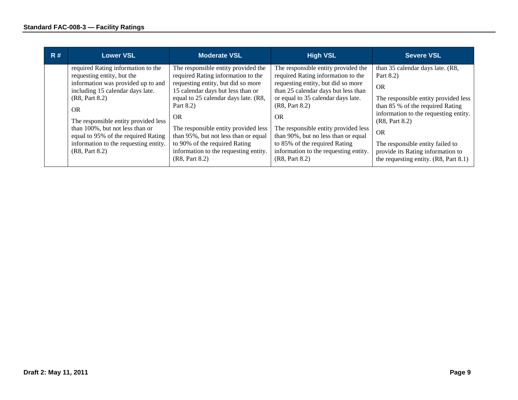| R# | <b>Lower VSL</b>                                                                                                                                                                                                                                                                                                                                 | <b>Moderate VSL</b>                                                                                                                                                                                                                                                                                                                                                                                | <b>High VSL</b>                                                                                                                                                                                                                                                                                                                                                                                        | <b>Severe VSL</b>                                                                                                                                                                                                                                                                                                                  |
|----|--------------------------------------------------------------------------------------------------------------------------------------------------------------------------------------------------------------------------------------------------------------------------------------------------------------------------------------------------|----------------------------------------------------------------------------------------------------------------------------------------------------------------------------------------------------------------------------------------------------------------------------------------------------------------------------------------------------------------------------------------------------|--------------------------------------------------------------------------------------------------------------------------------------------------------------------------------------------------------------------------------------------------------------------------------------------------------------------------------------------------------------------------------------------------------|------------------------------------------------------------------------------------------------------------------------------------------------------------------------------------------------------------------------------------------------------------------------------------------------------------------------------------|
|    | required Rating information to the<br>requesting entity, but the<br>information was provided up to and<br>including 15 calendar days late.<br>(R8, Part 8.2)<br>OR.<br>The responsible entity provided less<br>than 100%, but not less than or<br>equal to 95% of the required Rating<br>information to the requesting entity.<br>(R8, Part 8.2) | The responsible entity provided the<br>required Rating information to the<br>requesting entity, but did so more<br>15 calendar days but less than or<br>equal to 25 calendar days late. (R8,<br>Part 8.2)<br><b>OR</b><br>The responsible entity provided less<br>than 95%, but not less than or equal<br>to 90% of the required Rating<br>information to the requesting entity.<br>(R8, Part 8.2) | The responsible entity provided the<br>required Rating information to the<br>requesting entity, but did so more<br>than 25 calendar days but less than<br>or equal to 35 calendar days late.<br>(R8, Part 8.2)<br><b>OR</b><br>The responsible entity provided less<br>than 90%, but no less than or equal<br>to 85% of the required Rating<br>information to the requesting entity.<br>(R8, Part 8.2) | than 35 calendar days late. (R8,<br>Part 8.2)<br><b>OR</b><br>The responsible entity provided less<br>than 85 % of the required Rating<br>information to the requesting entity.<br>(R8, Part 8.2)<br><b>OR</b><br>The responsible entity failed to<br>provide its Rating information to<br>the requesting entity. $(R8, Part 8.1)$ |